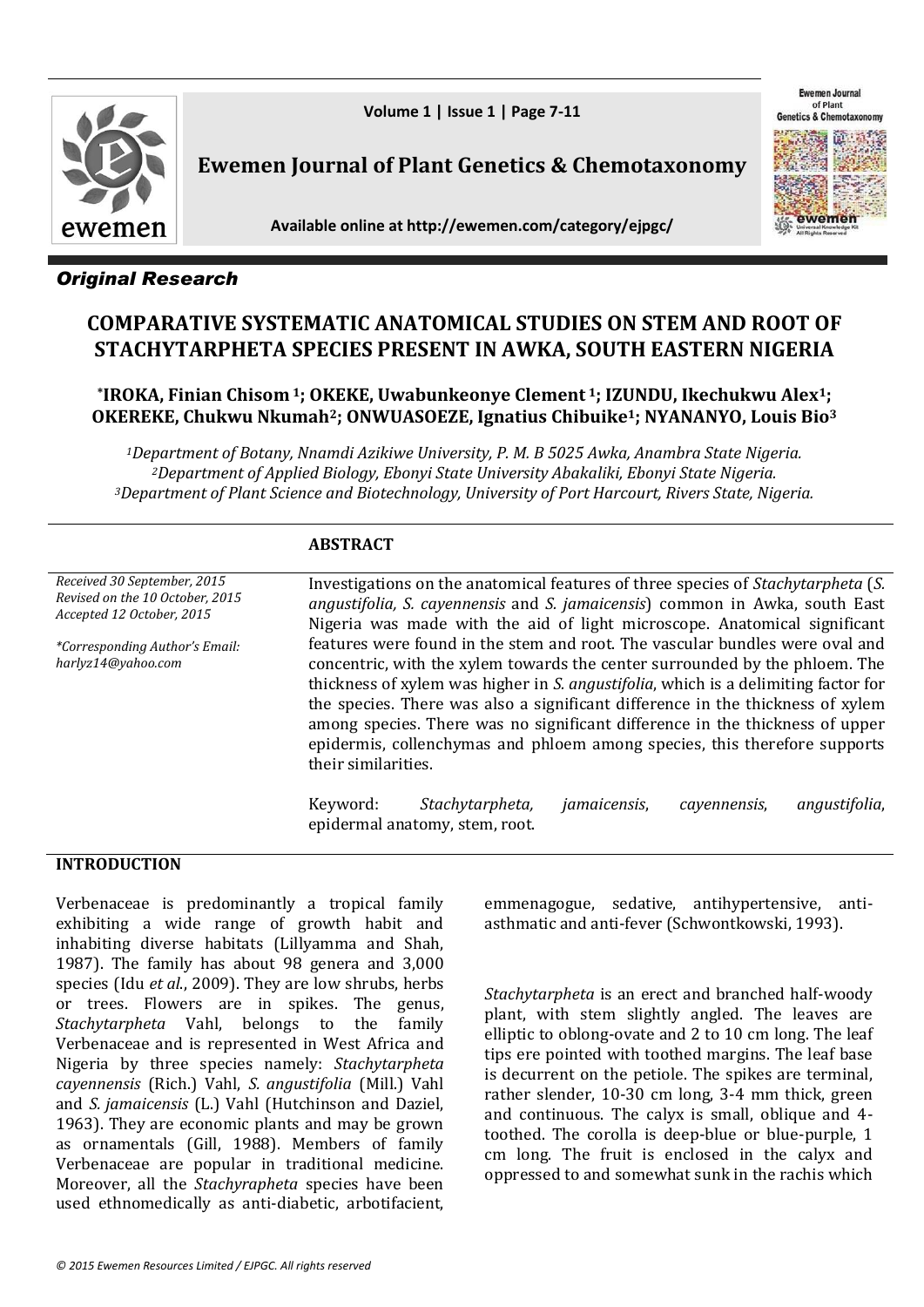

Ewemen Journal of Plant **Genetics & Chemotaxo** 



**Ewemen Journal of Plant Genetics & Chemotaxonomy** 

**Available online at http://ewemen.com/category/ejpgc/**



# *Original Research*

# **COMPARATIVE SYSTEMATIC ANATOMICAL STUDIES ON STEM AND ROOT OF STACHYTARPHETA SPECIES PRESENT IN AWKA, SOUTH EASTERN NIGERIA**

# **\*IROKA, Finian Chisom <sup>1</sup>; OKEKE, Uwabunkeonye Clement <sup>1</sup>; IZUNDU, Ikechukwu Alex1; OKEREKE, Chukwu Nkumah2; ONWUASOEZE, Ignatius Chibuike1; NYANANYO, Louis Bio<sup>3</sup>**

*<sup>1</sup>Department of Botany, Nnamdi Azikiwe University, P. M. B 5025 Awka, Anambra State Nigeria. <sup>2</sup>Department of Applied Biology, Ebonyi State University Abakaliki, Ebonyi State Nigeria. <sup>3</sup>Department of Plant Science and Biotechnology, University of Port Harcourt, Rivers State, Nigeria.*

## **ABSTRACT**

| Received 30 September, 2015<br>Revised on the 10 October, 2015<br>Accepted 12 October, 2015 | Investigations on the anatomical features of three species of <i>Stachytarpheta</i> (S.<br>angustifolia, S. cayennensis and S. jamaicensis) common in Awka, south East<br>Nigeria was made with the aid of light microscope. Anatomical significant                                                                                                                                                                                                                                                                             |  |  |  |
|---------------------------------------------------------------------------------------------|---------------------------------------------------------------------------------------------------------------------------------------------------------------------------------------------------------------------------------------------------------------------------------------------------------------------------------------------------------------------------------------------------------------------------------------------------------------------------------------------------------------------------------|--|--|--|
| *Corresponding Author's Email:<br>harlyz14@yahoo.com                                        | features were found in the stem and root. The vascular bundles were oval and<br>concentric, with the xylem towards the center surrounded by the phloem. The<br>thickness of xylem was higher in <i>S. angustifolia</i> , which is a delimiting factor for<br>the species. There was also a significant difference in the thickness of xylem<br>among species. There was no significant difference in the thickness of upper<br>epidermis, collenchymas and phloem among species, this therefore supports<br>their similarities. |  |  |  |
|                                                                                             | Stachytarpheta,<br><i>jamaicensis,</i><br>Keyword:<br>angustifolia,<br>cayennensis,<br>epidermal anatomy, stem, root.                                                                                                                                                                                                                                                                                                                                                                                                           |  |  |  |

## **INTRODUCTION**

Verbenaceae is predominantly a tropical family exhibiting a wide range of growth habit and inhabiting diverse habitats (Lillyamma and Shah, 1987). The family has about 98 genera and 3,000 species (Idu *et al*., 2009). They are low shrubs, herbs or trees. Flowers are in spikes. The genus, *Stachytarpheta* Vahl, belongs to the family Verbenaceae and is represented in West Africa and Nigeria by three species namely: *Stachytarpheta cayennensis* (Rich.) Vahl, *S. angustifolia* (Mill.) Vahl and *S. jamaicensis* (L.) Vahl (Hutchinson and Daziel, 1963). They are economic plants and may be grown as ornamentals (Gill, 1988). Members of family Verbenaceae are popular in traditional medicine. Moreover, all the *Stachyrapheta* species have been used ethnomedically as anti-diabetic, arbotifacient,

emmenagogue, sedative, antihypertensive, antiasthmatic and anti-fever (Schwontkowski, 1993).

*Stachytarpheta* is an erect and branched half-woody plant, with stem slightly angled. The leaves are elliptic to oblong-ovate and 2 to 10 cm long. The leaf tips ere pointed with toothed margins. The leaf base is decurrent on the petiole. The spikes are terminal, rather slender, 10-30 cm long, 3-4 mm thick, green and continuous. The calyx is small, oblique and 4 toothed. The corolla is deep-blue or blue-purple, 1 cm long. The fruit is enclosed in the calyx and oppressed to and somewhat sunk in the rachis which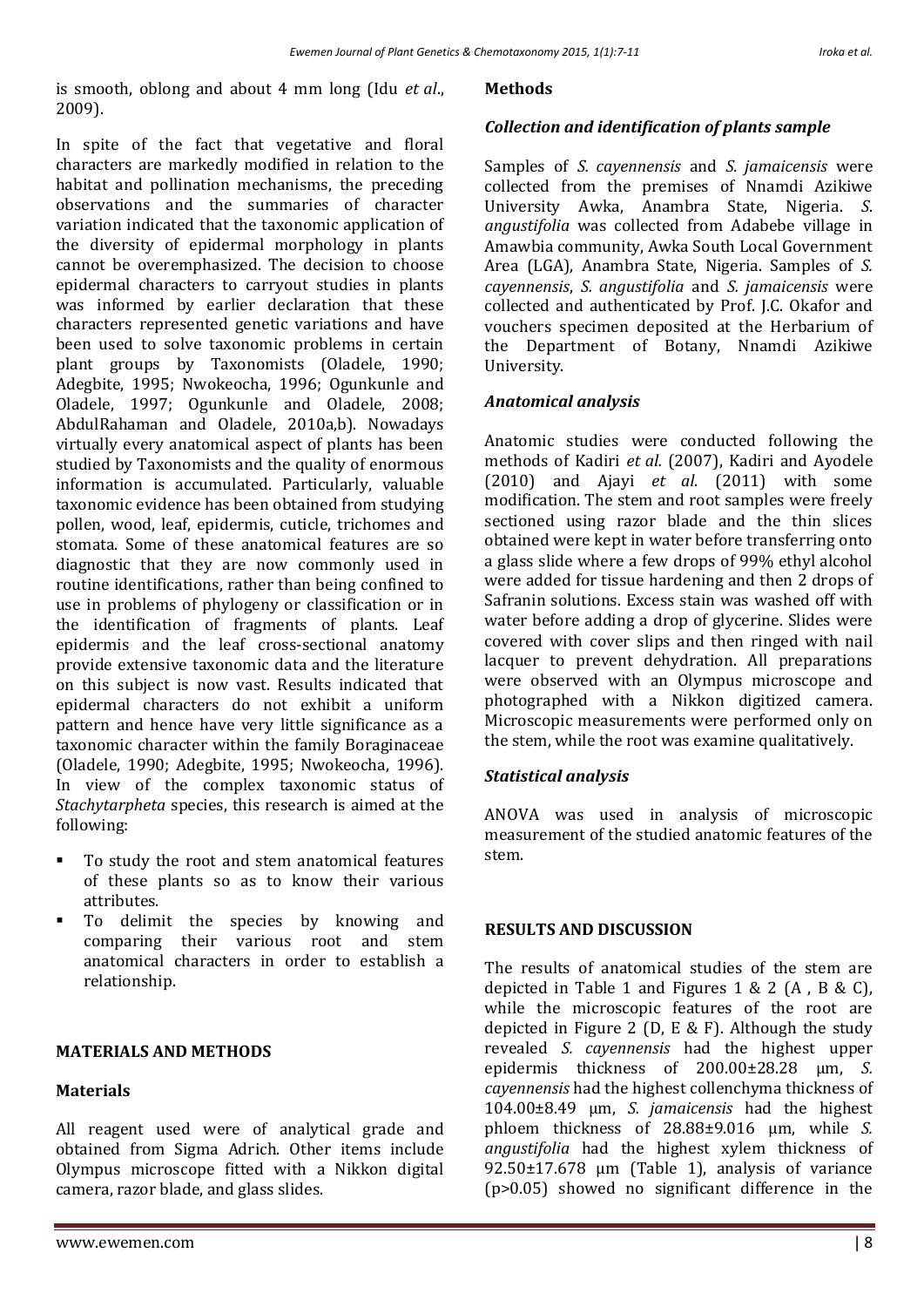is smooth, oblong and about 4 mm long (Idu *et al*., 2009).

In spite of the fact that vegetative and floral characters are markedly modified in relation to the habitat and pollination mechanisms, the preceding observations and the summaries of character variation indicated that the taxonomic application of the diversity of epidermal morphology in plants cannot be overemphasized. The decision to choose epidermal characters to carryout studies in plants was informed by earlier declaration that these characters represented genetic variations and have been used to solve taxonomic problems in certain plant groups by Taxonomists (Oladele, 1990; Adegbite, 1995; Nwokeocha, 1996; Ogunkunle and Oladele, 1997; Ogunkunle and Oladele, 2008; AbdulRahaman and Oladele, 2010a,b). Nowadays virtually every anatomical aspect of plants has been studied by Taxonomists and the quality of enormous information is accumulated. Particularly, valuable taxonomic evidence has been obtained from studying pollen, wood, leaf, epidermis, cuticle, trichomes and stomata. Some of these anatomical features are so diagnostic that they are now commonly used in routine identifications, rather than being confined to use in problems of phylogeny or classification or in the identification of fragments of plants. Leaf epidermis and the leaf cross-sectional anatomy provide extensive taxonomic data and the literature on this subject is now vast. Results indicated that epidermal characters do not exhibit a uniform pattern and hence have very little significance as a taxonomic character within the family Boraginaceae (Oladele, 1990; Adegbite, 1995; Nwokeocha, 1996). In view of the complex taxonomic status of *Stachytarpheta* species, this research is aimed at the following:

- To study the root and stem anatomical features of these plants so as to know their various attributes.
- To delimit the species by knowing and comparing their various root and stem anatomical characters in order to establish a relationship.

#### **MATERIALS AND METHODS**

#### **Materials**

All reagent used were of analytical grade and obtained from Sigma Adrich. Other items include Olympus microscope fitted with a Nikkon digital camera, razor blade, and glass slides.

#### **Methods**

### *Collection and identification of plants sample*

Samples of *S. cayennensis* and *S. jamaicensis* were collected from the premises of Nnamdi Azikiwe University Awka, Anambra State, Nigeria. *S*. *angustifolia* was collected from Adabebe village in Amawbia community, Awka South Local Government Area (LGA), Anambra State, Nigeria. Samples of *S. cayennensis*, *S. angustifolia* and *S. jamaicensis* were collected and authenticated by Prof. J.C. Okafor and vouchers specimen deposited at the Herbarium of the Department of Botany, Nnamdi Azikiwe University.

#### *Anatomical analysis*

Anatomic studies were conducted following the methods of Kadiri *et al.* (2007), Kadiri and Ayodele (2010) and Ajayi *et al*. (2011) with some modification. The stem and root samples were freely sectioned using razor blade and the thin slices obtained were kept in water before transferring onto a glass slide where a few drops of 99% ethyl alcohol were added for tissue hardening and then 2 drops of Safranin solutions. Excess stain was washed off with water before adding a drop of glycerine. Slides were covered with cover slips and then ringed with nail lacquer to prevent dehydration. All preparations were observed with an Olympus microscope and photographed with a Nikkon digitized camera. Microscopic measurements were performed only on the stem, while the root was examine qualitatively.

#### *Statistical analysis*

ANOVA was used in analysis of microscopic measurement of the studied anatomic features of the stem.

#### **RESULTS AND DISCUSSION**

The results of anatomical studies of the stem are depicted in Table 1 and Figures 1 & 2 (A , B & C), while the microscopic features of the root are depicted in Figure 2 (D, E & F). Although the study revealed *S. cayennensis* had the highest upper epidermis thickness of 200.00±28.28 µm, *S. cayennensis* had the highest collenchyma thickness of 104.00±8.49 µm, *S. jamaicensis* had the highest phloem thickness of 28.88±9.016 µm, while *S. angustifolia* had the highest xylem thickness of 92.50±17.678 µm (Table 1), analysis of variance (p>0.05) showed no significant difference in the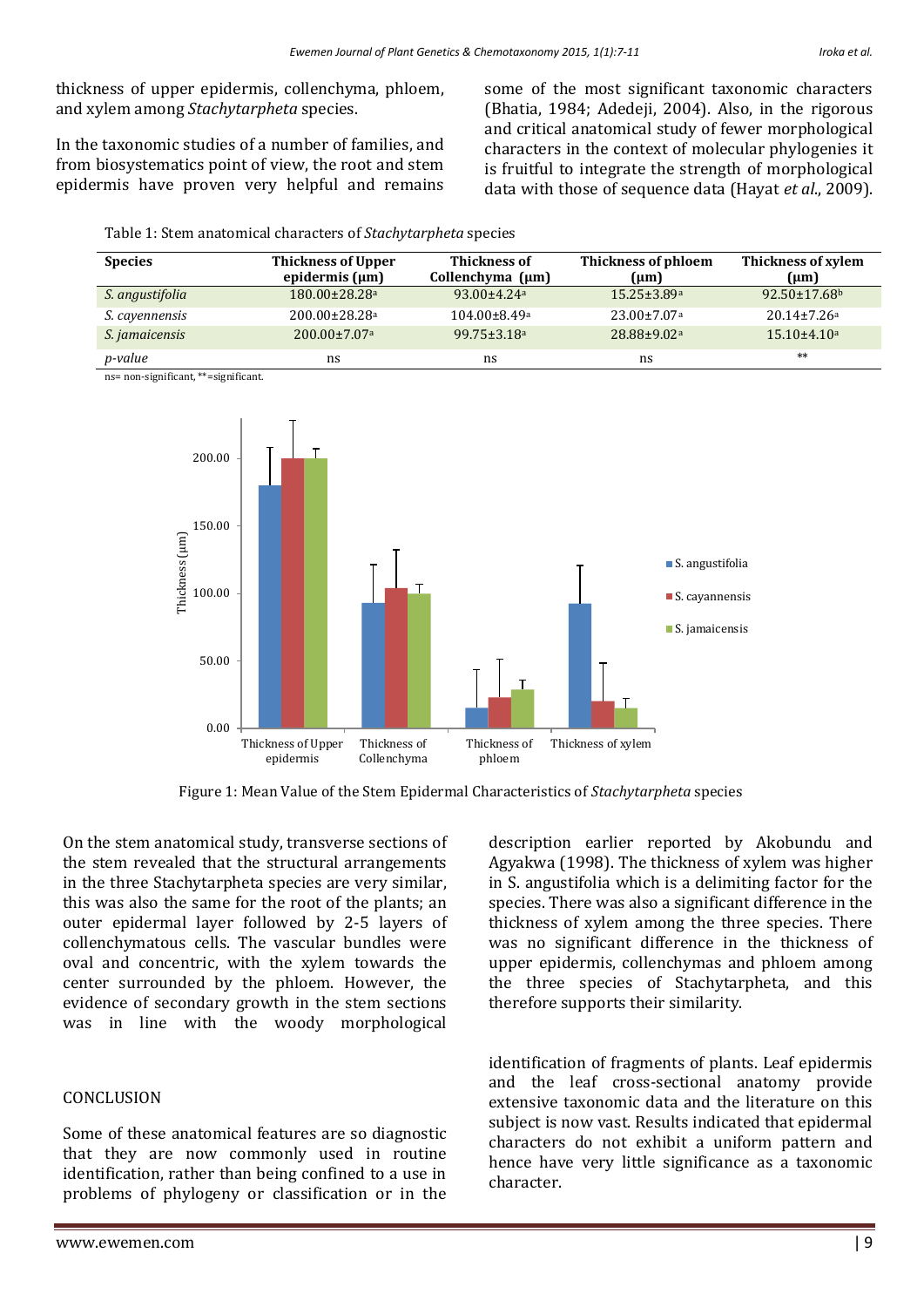thickness of upper epidermis, collenchyma, phloem, and xylem among *Stachytarpheta* species.

In the taxonomic studies of a number of families, and from biosystematics point of view, the root and stem epidermis have proven very helpful and remains

Table 1: Stem anatomical characters of *Stachytarpheta* species

some of the most significant taxonomic characters (Bhatia, 1984; Adedeji, 2004). Also, in the rigorous and critical anatomical study of fewer morphological characters in the context of molecular phylogenies it is fruitful to integrate the strength of morphological data with those of sequence data (Hayat *et al*., 2009).

| <b>Species</b>        | <b>Thickness of Upper</b><br>epidermis $(\mu m)$ | <b>Thickness of</b><br>Collenchyma $(\mu m)$ | Thickness of phloem<br>${\rm (µm)}$ | Thickness of xylem<br>(um)    |
|-----------------------|--------------------------------------------------|----------------------------------------------|-------------------------------------|-------------------------------|
| S. angustifolia       | $180.00 \pm 28.28$ <sup>a</sup>                  | $93.00 + 4.24a$                              | $15.25 \pm 3.89$ a                  | $92.50 \pm 17.68$             |
| <i>S. cayennensis</i> | $200.00 \pm 28.28$ <sup>a</sup>                  | $104.00 \pm 8.49$ a                          | $23.00 \pm 7.07$ <sup>a</sup>       | $20.14 \pm 7.26$ <sup>a</sup> |
| S. jamaicensis        | $200.00 \pm 7.07$ <sup>a</sup>                   | $99.75 \pm 3.18$ <sup>a</sup>                | $28.88 \pm 9.02$ <sup>a</sup>       | $15.10\pm4.10$ a              |
| p-value               | ns                                               | ns                                           | ns                                  | $**$                          |

ns= non-significant, \*\*=significant.



Figure 1: Mean Value of the Stem Epidermal Characteristics of *Stachytarpheta* species

On the stem anatomical study, transverse sections of the stem revealed that the structural arrangements in the three Stachytarpheta species are very similar, this was also the same for the root of the plants; an outer epidermal layer followed by 2-5 layers of collenchymatous cells. The vascular bundles were oval and concentric, with the xylem towards the center surrounded by the phloem. However, the evidence of secondary growth in the stem sections was in line with the woody morphological

#### **CONCLUSION**

Some of these anatomical features are so diagnostic that they are now commonly used in routine identification, rather than being confined to a use in problems of phylogeny or classification or in the

description earlier reported by Akobundu and Agyakwa (1998). The thickness of xylem was higher in S. angustifolia which is a delimiting factor for the species. There was also a significant difference in the thickness of xylem among the three species. There was no significant difference in the thickness of upper epidermis, collenchymas and phloem among the three species of Stachytarpheta, and this therefore supports their similarity.

identification of fragments of plants. Leaf epidermis and the leaf cross-sectional anatomy provide extensive taxonomic data and the literature on this subject is now vast. Results indicated that epidermal characters do not exhibit a uniform pattern and hence have very little significance as a taxonomic character.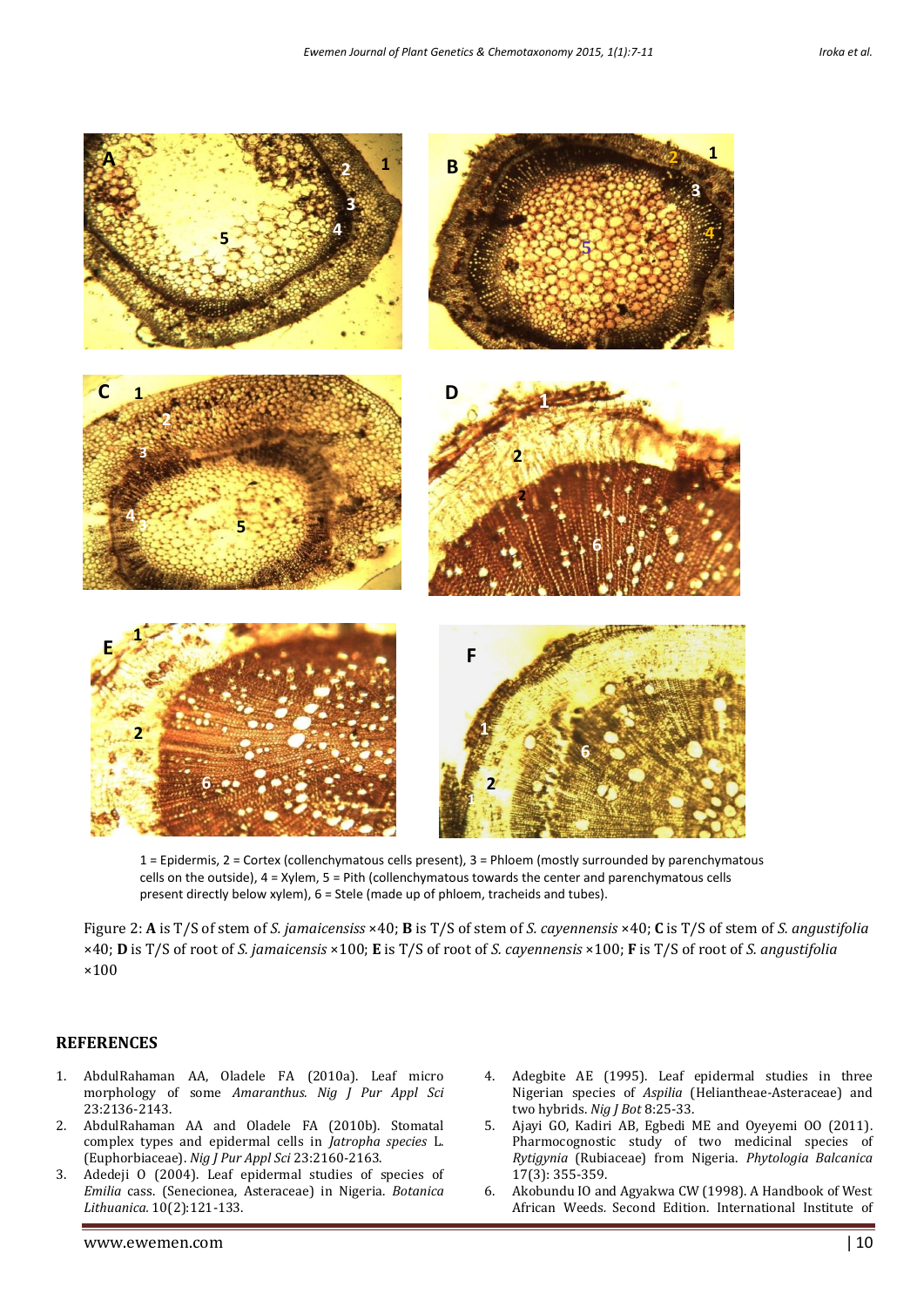

1 = Epidermis, 2 = Cortex (collenchymatous cells present), 3 = Phloem (mostly surrounded by parenchymatous cells on the outside), 4 = Xylem, 5 = Pith (collenchymatous towards the center and parenchymatous cells present directly below xylem), 6 = Stele (made up of phloem, tracheids and tubes).

Figure 2: **A** is T/S of stem of *S. jamaicensiss* ×40; **B** is T/S of stem of *S. cayennensis* ×40; **C** is T/S of stem of *S. angustifolia*  ×40; **D** is T/S of root of *S. jamaicensis* ×100; **E** is T/S of root of *S. cayennensis* ×100; **F** is T/S of root of *S. angustifolia*  ×100

#### **REFERENCES**

- 1. AbdulRahaman AA, Oladele FA (2010a). Leaf micro morphology of some *Amaranthus. Nig J Pur Appl Sci* 23:2136-2143.
- 2. AbdulRahaman AA and Oladele FA (2010b). Stomatal complex types and epidermal cells in *Jatropha species* L. (Euphorbiaceae). *Nig J Pur Appl Sci* 23:2160-2163.
- 3. Adedeji O (2004). Leaf epidermal studies of species of *Emilia* cass. (Senecionea*,* Asteraceae) in Nigeria. *Botanica Lithuanica.* 10(2):121-133.
- 4. Adegbite AE (1995). Leaf epidermal studies in three Nigerian species of *Aspilia* (Heliantheae*-*Asteraceae) and two hybrids. *Nig J Bot* 8:25-33.
- 5. Ajayi GO, Kadiri AB, Egbedi ME and Oyeyemi OO (2011). Pharmocognostic study of two medicinal species of *Rytigynia* (Rubiaceae) from Nigeria. *Phytologia Balcanica* 17(3): 355-359.
- 6. Akobundu IO and Agyakwa CW (1998). A Handbook of West African Weeds*.* Second Edition. International Institute of